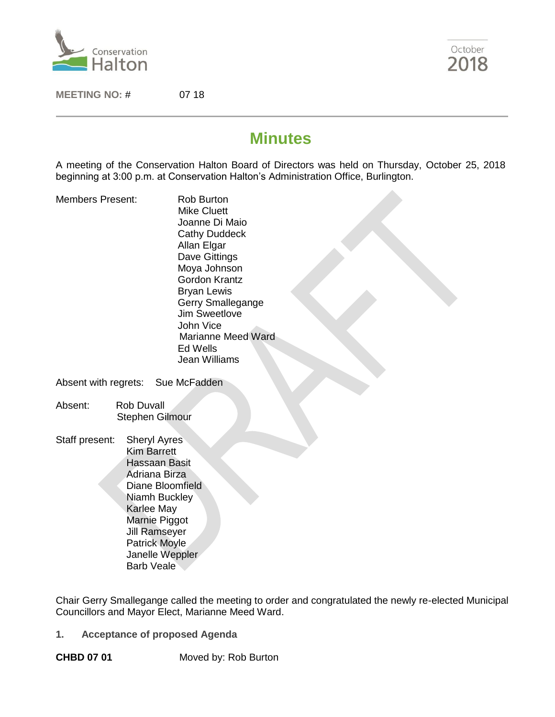

October 2018

**MEETING NO:** # 07 18

# **Minutes**

A meeting of the Conservation Halton Board of Directors was held on Thursday, October 25, 2018 beginning at 3:00 p.m. at Conservation Halton's Administration Office, Burlington.

Members Present: Rob Burton

 Mike Cluett Joanne Di Maio Cathy Duddeck Allan Elgar Dave Gittings Moya Johnson Gordon Krantz Bryan Lewis Gerry Smallegange Jim Sweetlove John Vice Marianne Meed Ward Ed Wells Jean Williams

Absent with regrets: Sue McFadden

- Absent: Rob Duvall Stephen Gilmour
- Staff present: Sheryl Ayres Kim Barrett Hassaan Basit Adriana Birza Diane Bloomfield Niamh Buckley Karlee May Marnie Piggot Jill Ramseyer Patrick Moyle Janelle Weppler Barb Veale

Chair Gerry Smallegange called the meeting to order and congratulated the newly re-elected Municipal Councillors and Mayor Elect, Marianne Meed Ward.

**1. Acceptance of proposed Agenda** 

**CHBD 07 01** Moved by: Rob Burton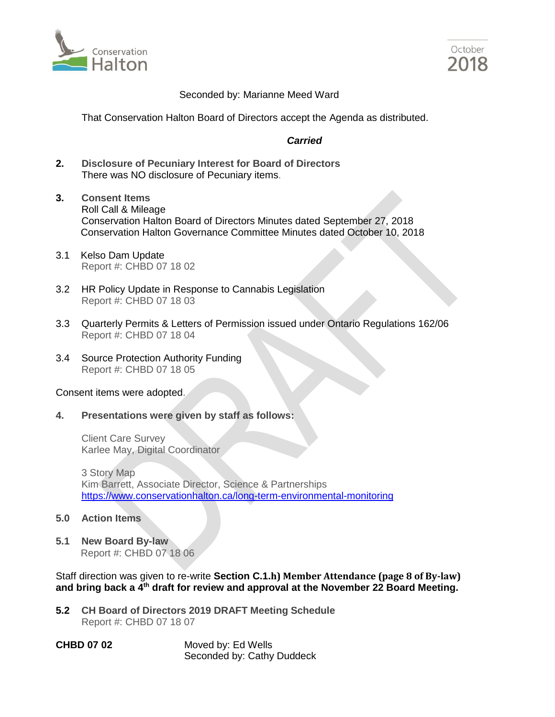



#### Seconded by: Marianne Meed Ward

That Conservation Halton Board of Directors accept the Agenda as distributed.

### *Carried*

- **2. Disclosure of Pecuniary Interest for Board of Directors**  There was NO disclosure of Pecuniary items.
- **3. Consent Items**  Roll Call & Mileage Conservation Halton Board of Directors Minutes dated September 27, 2018 Conservation Halton Governance Committee Minutes dated October 10, 2018
- 3.1 Kelso Dam Update Report #: CHBD 07 18 02
- 3.2 HR Policy Update in Response to Cannabis Legislation Report #: CHBD 07 18 03
- 3.3 Quarterly Permits & Letters of Permission issued under Ontario Regulations 162/06 Report #: CHBD 07 18 04
- 3.4 Source Protection Authority Funding Report #: CHBD 07 18 05

#### Consent items were adopted.

**4. Presentations were given by staff as follows:**

Client Care Survey Karlee May, Digital Coordinator

3 Story Map Kim Barrett, Associate Director, Science & Partnerships <https://www.conservationhalton.ca/long-term-environmental-monitoring>

- **5.0 Action Items**
- **5.1 New Board By-law** Report #: CHBD 07 18 06

Staff direction was given to re-write **Section C.1.h) Member Attendance (page 8 of By-law) and bring back a 4th draft for review and approval at the November 22 Board Meeting.**

- **5.2 CH Board of Directors 2019 DRAFT Meeting Schedule** Report #: CHBD 07 18 07
- **CHBD 07 02** Moved by: Ed Wells Seconded by: Cathy Duddeck